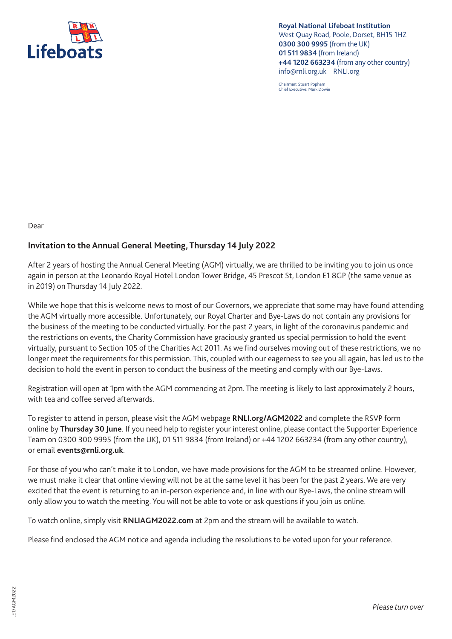

**Royal National Lifeboat Institution**  West Quay Road, Poole, Dorset, BH15 1HZ **0300 300 9995** (from the UK) **01 511 9834** (from Ireland) **+44 1202 663234** (from any other country) info@rnli.org.uk RNLI.org

Chairman: Stuart Popham Chief Executive: Mark Dowie

Dear

## **Invitation to the Annual General Meeting, Thursday 14 July 2022**

After 2 years of hosting the Annual General Meeting (AGM) virtually, we are thrilled to be inviting you to join us once again in person at the Leonardo Royal Hotel London Tower Bridge, 45 Prescot St, London E1 8GP (the same venue as in 2019) on Thursday 14 July 2022.

While we hope that this is welcome news to most of our Governors, we appreciate that some may have found attending the AGM virtually more accessible. Unfortunately, our Royal Charter and Bye-Laws do not contain any provisions for the business of the meeting to be conducted virtually. For the past 2 years, in light of the coronavirus pandemic and the restrictions on events, the Charity Commission have graciously granted us special permission to hold the event virtually, pursuant to Section 105 of the Charities Act 2011. As we find ourselves moving out of these restrictions, we no longer meet the requirements for this permission. This, coupled with our eagerness to see you all again, has led us to the decision to hold the event in person to conduct the business of the meeting and comply with our Bye-Laws.

Registration will open at 1pm with the AGM commencing at 2pm. The meeting is likely to last approximately 2 hours, with tea and coffee served afterwards.

To register to attend in person, please visit the AGM webpage **RNLI.org/AGM2022** and complete the RSVP form online by **Thursday 30 June**. If you need help to register your interest online, please contact the Supporter Experience Team on 0300 300 9995 (from the UK), 01 511 9834 (from Ireland) or +44 1202 663234 (from any other country), or email **events@rnli.org.uk**.

For those of you who can't make it to London, we have made provisions for the AGM to be streamed online. However, we must make it clear that online viewing will not be at the same level it has been for the past 2 years. We are very excited that the event is returning to an in-person experience and, in line with our Bye-Laws, the online stream will only allow you to watch the meeting. You will not be able to vote or ask questions if you join us online.

To watch online, simply visit **RNLIAGM2022.com** at 2pm and the stream will be available to watch.

Please find enclosed the AGM notice and agenda including the resolutions to be voted upon for your reference.